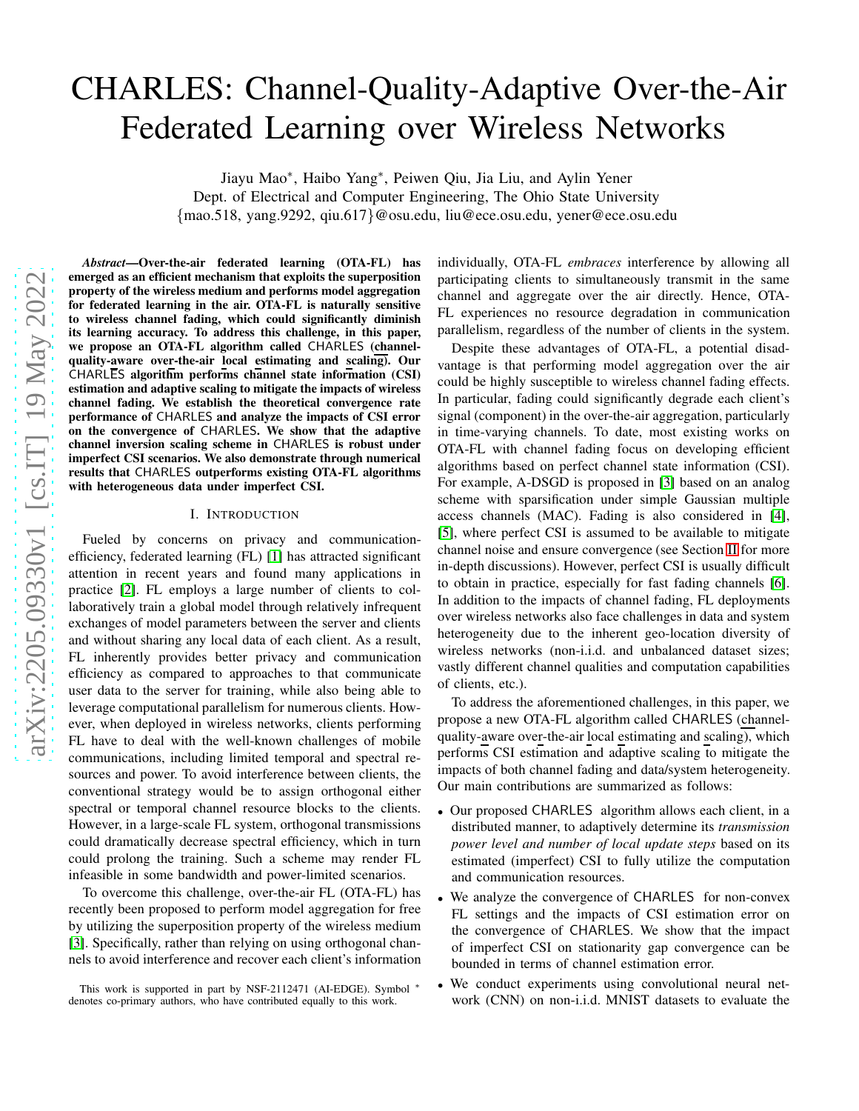# CHARLES: Channel-Quality-Adaptive Over-the-Air Federated Learning over Wireless Networks

Jiayu Mao∗ , Haibo Yang∗ , Peiwen Qiu, Jia Liu, and Aylin Yener Dept. of Electrical and Computer Engineering, The Ohio State University {mao.518, yang.9292, qiu.617}@osu.edu, liu@ece.osu.edu, yener@ece.osu.edu

arXiv:2205.09330v1 [cs.IT] 19 May 2022 [arXiv:2205.09330v1 \[cs.IT\] 19 May 2022](http://arxiv.org/abs/2205.09330v1)

*Abstract*—Over-the-air federated learning (OTA-FL) has emerged as an efficient mechanism that exploits the superposition property of the wireless medium and performs model aggregation for federated learning in the air. OTA-FL is naturally sensitive to wireless channel fading, which could significantly diminish its learning accuracy. To address this challenge, in this paper, we propose an OTA-FL algorithm called CHARLES (channelquality-aware over-the-air local estimating and scaling). Our CHARLES algorithm performs channel state information (CSI) estimation and adaptive scaling to mitigate the impacts of wireless channel fading. We establish the theoretical convergence rate performance of CHARLES and analyze the impacts of CSI error on the convergence of CHARLES. We show that the adaptive channel inversion scaling scheme in CHARLES is robust under imperfect CSI scenarios. We also demonstrate through numerical results that CHARLES outperforms existing OTA-FL algorithms with heterogeneous data under imperfect CSI.

## I. INTRODUCTION

Fueled by concerns on privacy and communicationefficiency, federated learning (FL) [\[1\]](#page-4-0) has attracted significant attention in recent years and found many applications in practice [\[2\]](#page-4-1). FL employs a large number of clients to collaboratively train a global model through relatively infrequent exchanges of model parameters between the server and clients and without sharing any local data of each client. As a result, FL inherently provides better privacy and communication efficiency as compared to approaches to that communicate user data to the server for training, while also being able to leverage computational parallelism for numerous clients. However, when deployed in wireless networks, clients performing FL have to deal with the well-known challenges of mobile communications, including limited temporal and spectral resources and power. To avoid interference between clients, the conventional strategy would be to assign orthogonal either spectral or temporal channel resource blocks to the clients. However, in a large-scale FL system, orthogonal transmissions could dramatically decrease spectral efficiency, which in turn could prolong the training. Such a scheme may render FL infeasible in some bandwidth and power-limited scenarios.

To overcome this challenge, over-the-air FL (OTA-FL) has recently been proposed to perform model aggregation for free by utilizing the superposition property of the wireless medium [\[3\]](#page-4-2). Specifically, rather than relying on using orthogonal channels to avoid interference and recover each client's information individually, OTA-FL *embraces* interference by allowing all participating clients to simultaneously transmit in the same channel and aggregate over the air directly. Hence, OTA-FL experiences no resource degradation in communication parallelism, regardless of the number of clients in the system.

Despite these advantages of OTA-FL, a potential disadvantage is that performing model aggregation over the air could be highly susceptible to wireless channel fading effects. In particular, fading could significantly degrade each client's signal (component) in the over-the-air aggregation, particularly in time-varying channels. To date, most existing works on OTA-FL with channel fading focus on developing efficient algorithms based on perfect channel state information (CSI). For example, A-DSGD is proposed in [\[3\]](#page-4-2) based on an analog scheme with sparsification under simple Gaussian multiple access channels (MAC). Fading is also considered in [\[4\]](#page-4-3), [\[5\]](#page-4-4), where perfect CSI is assumed to be available to mitigate channel noise and ensure convergence (see Section [II](#page-1-0) for more in-depth discussions). However, perfect CSI is usually difficult to obtain in practice, especially for fast fading channels [\[6\]](#page-4-5). In addition to the impacts of channel fading, FL deployments over wireless networks also face challenges in data and system heterogeneity due to the inherent geo-location diversity of wireless networks (non-i.i.d. and unbalanced dataset sizes; vastly different channel qualities and computation capabilities of clients, etc.).

To address the aforementioned challenges, in this paper, we propose a new OTA-FL algorithm called CHARLES (channelquality-aware over-the-air local estimating and scaling), which performs CSI estimation and adaptive scaling to mitigate the impacts of both channel fading and data/system heterogeneity. Our main contributions are summarized as follows:

- Our proposed CHARLES algorithm allows each client, in a distributed manner, to adaptively determine its *transmission power level and number of local update steps* based on its estimated (imperfect) CSI to fully utilize the computation and communication resources.
- We analyze the convergence of CHARLES for non-convex FL settings and the impacts of CSI estimation error on the convergence of CHARLES. We show that the impact of imperfect CSI on stationarity gap convergence can be bounded in terms of channel estimation error.
- We conduct experiments using convolutional neural network (CNN) on non-i.i.d. MNIST datasets to evaluate the

This work is supported in part by NSF-2112471 (AI-EDGE). Symbol <sup>∗</sup> denotes co-primary authors, who have contributed equally to this work.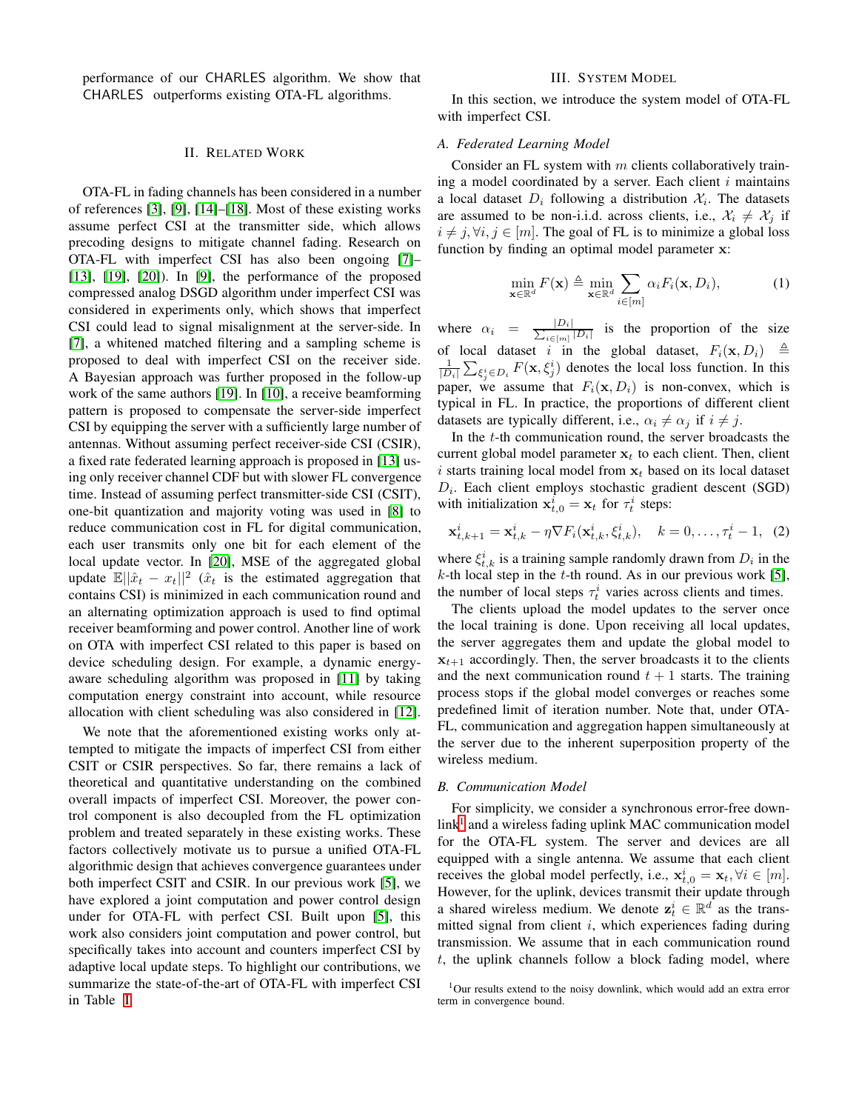<span id="page-1-0"></span>performance of our CHARLES algorithm. We show that CHARLES outperforms existing OTA-FL algorithms.

#### II. RELATED WORK

OTA-FL in fading channels has been considered in a number of references [\[3\]](#page-4-2), [\[9\]](#page-4-6), [\[14\]](#page-4-7)–[\[18\]](#page-4-8). Most of these existing works assume perfect CSI at the transmitter side, which allows precoding designs to mitigate channel fading. Research on OTA-FL with imperfect CSI has also been ongoing [\[7\]](#page-4-9)– [\[13\]](#page-4-10), [\[19\]](#page-4-11), [\[20\]](#page-4-12)). In [\[9\]](#page-4-6), the performance of the proposed compressed analog DSGD algorithm under imperfect CSI was considered in experiments only, which shows that imperfect CSI could lead to signal misalignment at the server-side. In [\[7\]](#page-4-9), a whitened matched filtering and a sampling scheme is proposed to deal with imperfect CSI on the receiver side. A Bayesian approach was further proposed in the follow-up work of the same authors [\[19\]](#page-4-11). In [\[10\]](#page-4-13), a receive beamforming pattern is proposed to compensate the server-side imperfect CSI by equipping the server with a sufficiently large number of antennas. Without assuming perfect receiver-side CSI (CSIR), a fixed rate federated learning approach is proposed in [\[13\]](#page-4-10) using only receiver channel CDF but with slower FL convergence time. Instead of assuming perfect transmitter-side CSI (CSIT), one-bit quantization and majority voting was used in [\[8\]](#page-4-14) to reduce communication cost in FL for digital communication, each user transmits only one bit for each element of the local update vector. In [\[20\]](#page-4-12), MSE of the aggregated global update  $\mathbb{E}||\hat{x}_t - x_t||^2$  ( $\hat{x}_t$  is the estimated aggregation that contains CSI) is minimized in each communication round and an alternating optimization approach is used to find optimal receiver beamforming and power control. Another line of work on OTA with imperfect CSI related to this paper is based on device scheduling design. For example, a dynamic energyaware scheduling algorithm was proposed in [\[11\]](#page-4-15) by taking computation energy constraint into account, while resource allocation with client scheduling was also considered in [\[12\]](#page-4-16).

We note that the aforementioned existing works only attempted to mitigate the impacts of imperfect CSI from either CSIT or CSIR perspectives. So far, there remains a lack of theoretical and quantitative understanding on the combined overall impacts of imperfect CSI. Moreover, the power control component is also decoupled from the FL optimization problem and treated separately in these existing works. These factors collectively motivate us to pursue a unified OTA-FL algorithmic design that achieves convergence guarantees under both imperfect CSIT and CSIR. In our previous work [\[5\]](#page-4-4), we have explored a joint computation and power control design under for OTA-FL with perfect CSI. Built upon [\[5\]](#page-4-4), this work also considers joint computation and power control, but specifically takes into account and counters imperfect CSI by adaptive local update steps. To highlight our contributions, we summarize the state-of-the-art of OTA-FL with imperfect CSI in Table [I.](#page-2-0)

# III. SYSTEM MODEL

<span id="page-1-2"></span>In this section, we introduce the system model of OTA-FL with imperfect CSI.

#### *A. Federated Learning Model*

Consider an FL system with  $m$  clients collaboratively training a model coordinated by a server. Each client  $i$  maintains a local dataset  $D_i$  following a distribution  $\mathcal{X}_i$ . The datasets are assumed to be non-i.i.d. across clients, i.e.,  $\mathcal{X}_i \neq \mathcal{X}_j$  if  $i \neq j, \forall i, j \in [m]$ . The goal of FL is to minimize a global loss function by finding an optimal model parameter x:

$$
\min_{\mathbf{x} \in \mathbb{R}^d} F(\mathbf{x}) \triangleq \min_{\mathbf{x} \in \mathbb{R}^d} \sum_{i \in [m]} \alpha_i F_i(\mathbf{x}, D_i), \tag{1}
$$

where  $\alpha_i = \frac{|D_i|}{\sum_{i}$  $\frac{|D_i|}{|D_i|}$  is the proportion of the size of local dataset i in the global dataset,  $F_i(\mathbf{x}, D_i) \triangleq$  $\frac{1}{|D_i|} \sum_{\xi_j^i \in D_i} F(\mathbf{x}, \xi_j^i)$  denotes the local loss function. In this paper, we assume that  $F_i(\mathbf{x}, D_i)$  is non-convex, which is typical in FL. In practice, the proportions of different client datasets are typically different, i.e.,  $\alpha_i \neq \alpha_j$  if  $i \neq j$ .

In the  $t$ -th communication round, the server broadcasts the current global model parameter  $x_t$  to each client. Then, client i starts training local model from  $x_t$  based on its local dataset  $D_i$ . Each client employs stochastic gradient descent (SGD) with initialization  $\mathbf{x}_{t,0}^i = \mathbf{x}_t$  for  $\tau_t^i$  steps:

<span id="page-1-3"></span>
$$
\mathbf{x}_{t,k+1}^i = \mathbf{x}_{t,k}^i - \eta \nabla F_i(\mathbf{x}_{t,k}^i, \xi_{t,k}^i), \quad k = 0, \dots, \tau_t^i - 1, \tag{2}
$$

where  $\xi_{t,k}^i$  is a training sample randomly drawn from  $D_i$  in the  $k$ -th local step in the  $t$ -th round. As in our previous work [\[5\]](#page-4-4), the number of local steps  $\tau_t^i$  varies across clients and times.

The clients upload the model updates to the server once the local training is done. Upon receiving all local updates, the server aggregates them and update the global model to  $x_{t+1}$  accordingly. Then, the server broadcasts it to the clients and the next communication round  $t + 1$  starts. The training process stops if the global model converges or reaches some predefined limit of iteration number. Note that, under OTA-FL, communication and aggregation happen simultaneously at the server due to the inherent superposition property of the wireless medium.

#### *B. Communication Model*

For simplicity, we consider a synchronous error-free down- $link<sup>1</sup>$  $link<sup>1</sup>$  $link<sup>1</sup>$  and a wireless fading uplink MAC communication model for the OTA-FL system. The server and devices are all equipped with a single antenna. We assume that each client receives the global model perfectly, i.e.,  $\mathbf{x}_{t,0}^i = \mathbf{x}_t, \forall i \in [m]$ . However, for the uplink, devices transmit their update through a shared wireless medium. We denote  $z_t^i \in \mathbb{R}^d$  as the transmitted signal from client  $i$ , which experiences fading during transmission. We assume that in each communication round  $t$ , the uplink channels follow a block fading model, where

<span id="page-1-1"></span> $1$ Our results extend to the noisy downlink, which would add an extra error term in convergence bound.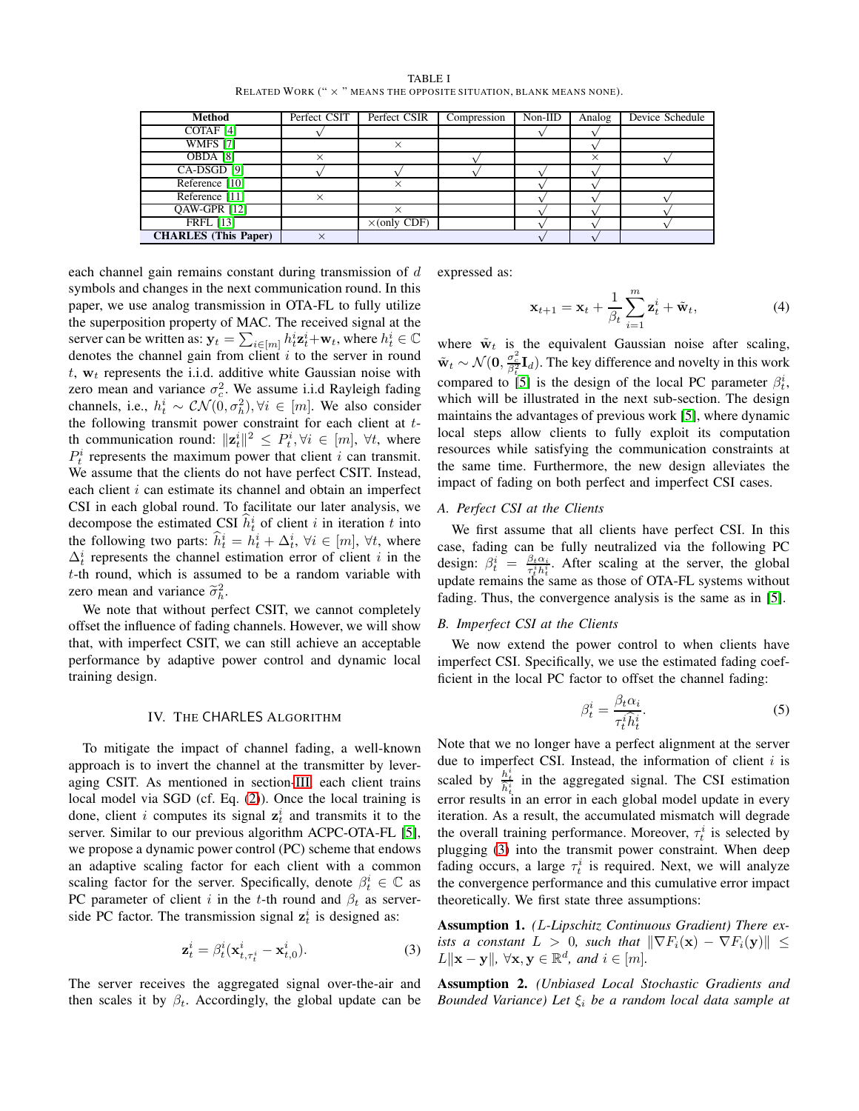| <b>TABLE I</b>                                                              |  |
|-----------------------------------------------------------------------------|--|
| RELATED WORK (" $\times$ " MEANS THE OPPOSITE SITUATION, BLANK MEANS NONE). |  |

<span id="page-2-0"></span>

| Method                      | Perfect CSIT | Perfect CSIR        | Compression | $Non-IID$ | Analog   | Device Schedule |
|-----------------------------|--------------|---------------------|-------------|-----------|----------|-----------------|
| COTAF <sub>[4]</sub>        |              |                     |             |           |          |                 |
| <b>WMFS [7]</b>             |              |                     |             |           |          |                 |
| OBDA [8]                    |              |                     |             |           | $\times$ |                 |
| CA-DSGD [9]                 |              |                     |             |           |          |                 |
| Reference [10]              |              |                     |             |           |          |                 |
| Reference [11]              |              |                     |             |           |          |                 |
| QAW-GPR [12]                |              |                     |             |           |          |                 |
| <b>FRFL</b> [13]            |              | $\times$ (only CDF) |             |           |          |                 |
| <b>CHARLES</b> (This Paper) |              |                     |             |           |          |                 |

each channel gain remains constant during transmission of d symbols and changes in the next communication round. In this paper, we use analog transmission in OTA-FL to fully utilize the superposition property of MAC. The received signal at the server can be written as:  $\mathbf{y}_t = \sum_{i \in [m]} h_t^i \mathbf{z}_t^i + \mathbf{w}_t$ , where  $h_t^i \in \mathbb{C}$ denotes the channel gain from client  $i$  to the server in round  $t$ ,  $w_t$  represents the i.i.d. additive white Gaussian noise with zero mean and variance  $\sigma_c^2$ . We assume i.i.d Rayleigh fading channels, i.e.,  $h_t^i \sim \mathcal{CN}(0, \sigma_h^2), \forall i \in [m]$ . We also consider the following transmit power constraint for each client at tth communication round:  $||\mathbf{z}_t^i||^2 \leq P_t^i, \forall i \in [m], \forall t$ , where  $P_t^i$  represents the maximum power that client i can transmit. We assume that the clients do not have perfect CSIT. Instead, each client  $i$  can estimate its channel and obtain an imperfect CSI in each global round. To facilitate our later analysis, we decompose the estimated CSI  $\hat{h}_t^i$  of client i in iteration t into the following two parts:  $\hat{h}_t^i = h_t^i + \Delta_t^i$ ,  $\forall i \in [m]$ ,  $\forall t$ , where  $\Delta_t^i$  represents the channel estimation error of client *i* in the t-th round, which is assumed to be a random variable with zero mean and variance  $\tilde{\sigma}_h^2$ .

We note that without perfect CSIT, we cannot completely offset the influence of fading channels. However, we will show that, with imperfect CSIT, we can still achieve an acceptable performance by adaptive power control and dynamic local training design.

## IV. THE CHARLES ALGORITHM

To mitigate the impact of channel fading, a well-known approach is to invert the channel at the transmitter by leveraging CSIT. As mentioned in section[-III,](#page-1-2) each client trains local model via SGD (cf. Eq. [\(2\)](#page-1-3)). Once the local training is done, client *i* computes its signal  $z_t^i$  and transmits it to the server. Similar to our previous algorithm ACPC-OTA-FL [\[5\]](#page-4-4), we propose a dynamic power control (PC) scheme that endows an adaptive scaling factor for each client with a common scaling factor for the server. Specifically, denote  $\beta_t^i \in \mathbb{C}$  as PC parameter of client i in the t-th round and  $\beta_t$  as serverside PC factor. The transmission signal  $z_t^i$  is designed as:

<span id="page-2-1"></span>
$$
\mathbf{z}_t^i = \beta_t^i(\mathbf{x}_{t,\tau_t^i}^i - \mathbf{x}_{t,0}^i). \tag{3}
$$

The server receives the aggregated signal over-the-air and then scales it by  $\beta_t$ . Accordingly, the global update can be expressed as:

$$
\mathbf{x}_{t+1} = \mathbf{x}_t + \frac{1}{\beta_t} \sum_{i=1}^m \mathbf{z}_t^i + \tilde{\mathbf{w}}_t, \tag{4}
$$

where  $\tilde{w}_t$  is the equivalent Gaussian noise after scaling,  $\tilde{\mathbf{w}}_t \sim \mathcal{N}(\mathbf{0}, \frac{\sigma_c^2}{\beta_t^2} \mathbf{I}_d)$ . The key difference and novelty in this work compared to [\[5\]](#page-4-4) is the design of the local PC parameter  $\beta_t^i$ , which will be illustrated in the next sub-section. The design maintains the advantages of previous work [\[5\]](#page-4-4), where dynamic local steps allow clients to fully exploit its computation resources while satisfying the communication constraints at the same time. Furthermore, the new design alleviates the impact of fading on both perfect and imperfect CSI cases.

#### *A. Perfect CSI at the Clients*

We first assume that all clients have perfect CSI. In this case, fading can be fully neutralized via the following PC design:  $\beta_t^i = \frac{\beta_t \alpha_i}{\tau_t^i h_t^i}$ . After scaling at the server, the global update remains the same as those of OTA-FL systems without fading. Thus, the convergence analysis is the same as in [\[5\]](#page-4-4).

### *B. Imperfect CSI at the Clients*

We now extend the power control to when clients have imperfect CSI. Specifically, we use the estimated fading coefficient in the local PC factor to offset the channel fading:

$$
\beta_t^i = \frac{\beta_t \alpha_i}{\tau_t^i \hat{h}_t^i}.\tag{5}
$$

Note that we no longer have a perfect alignment at the server due to imperfect CSI. Instead, the information of client  $i$  is scaled by  $\frac{h_i^i}{\hat{h}_i^i}$  in the aggregated signal. The CSI estimation error results in an error in each global model update in every iteration. As a result, the accumulated mismatch will degrade the overall training performance. Moreover,  $\tau_t^i$  is selected by plugging [\(3\)](#page-2-1) into the transmit power constraint. When deep fading occurs, a large  $\tau_t^i$  is required. Next, we will analyze the convergence performance and this cumulative error impact theoretically. We first state three assumptions:

<span id="page-2-2"></span>Assumption 1. *(*L*-Lipschitz Continuous Gradient) There exists a constant*  $L > 0$ *, such that*  $\|\nabla F_i(\mathbf{x}) - \nabla F_i(\mathbf{y})\| \leq$  $L\|\mathbf{x} - \mathbf{y}\|, \ \forall \mathbf{x}, \mathbf{y} \in \mathbb{R}^d, \ and \ i \in [m].$ 

Assumption 2. *(Unbiased Local Stochastic Gradients and Bounded Variance) Let* ξ<sup>i</sup> *be a random local data sample at*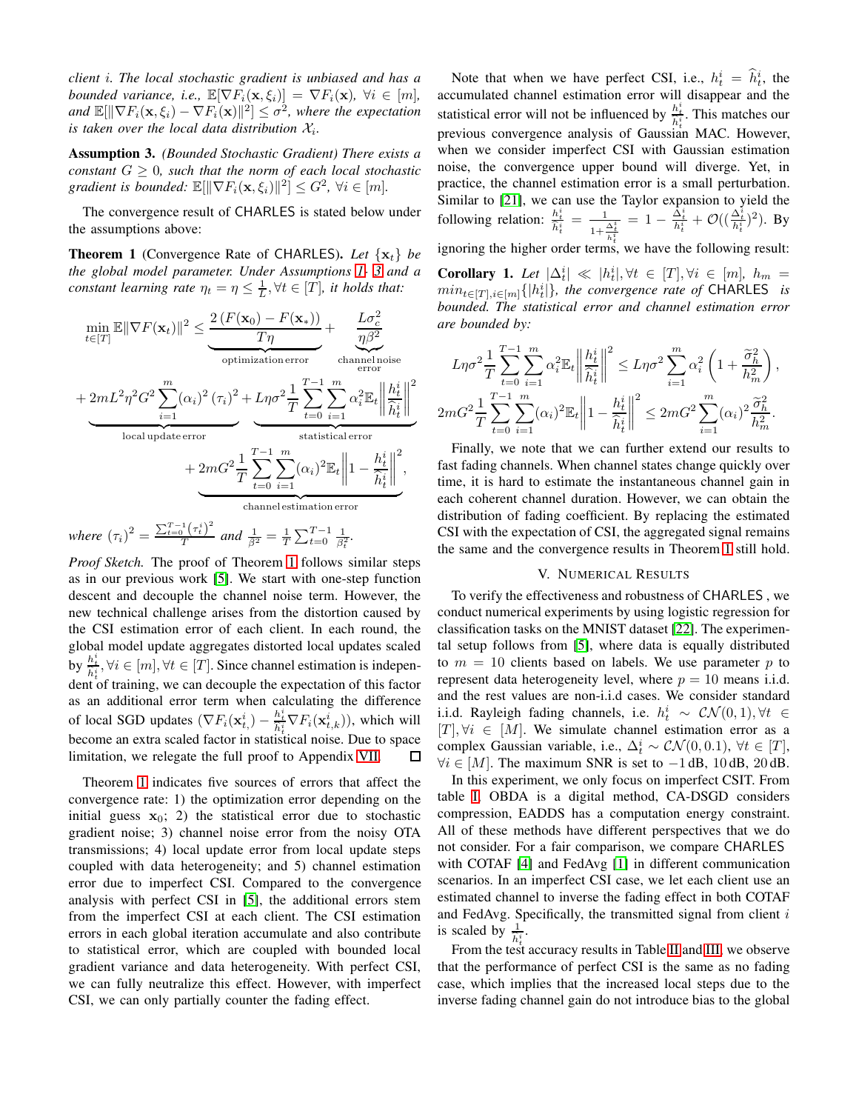*client* i*. The local stochastic gradient is unbiased and has a bounded variance, i.e.,*  $\mathbb{E}[\nabla F_i(\mathbf{x}, \xi_i)] = \nabla F_i(\mathbf{x})$ ,  $\forall i \in [m]$ , and  $\mathbb{E}[\|\nabla F_i(\mathbf{x}, \xi_i) - \nabla F_i(\mathbf{x})\|^2] \leq \sigma^2$ , where the expectation *is taken over the local data distribution*  $\mathcal{X}_i$ *.* 

<span id="page-3-0"></span>Assumption 3. *(Bounded Stochastic Gradient) There exists a constant*  $G \geq 0$ *, such that the norm of each local stochastic gradient is bounded:*  $\mathbb{E}[\|\nabla F_i(\mathbf{x}, \xi_i)\|^2] \leq G^2$ ,  $\forall i \in [m]$ .

The convergence result of CHARLES is stated below under the assumptions above:

<span id="page-3-1"></span>**Theorem 1** (Convergence Rate of CHARLES). Let  $\{x_t\}$  be *the global model parameter. Under Assumptions [1-](#page-2-2) [3](#page-3-0) and a constant learning rate*  $\eta_t = \eta \leq \frac{1}{L}, \forall t \in [T]$ *, it holds that:* 

$$
\begin{aligned}\n&\min_{t\in[T]}\mathbb{E}\|\nabla F(\mathbf{x}_t)\|^2 \leq \underbrace{\frac{2\left(F(\mathbf{x}_0)-F(\mathbf{x}_*)\right)}{T\eta}}_{\text{optimization error}}+\underbrace{\frac{L\sigma_c^2}{\eta\beta^2}}_{\text{channel noise}}\\&+\underbrace{2mL^2\eta^2G^2\sum_{i=1}^m(\alpha_i)^2\left(\tau_i\right)^2+L\eta\sigma^2\frac{1}{T}\sum_{t=0}^{T-1}\sum_{i=1}^m\alpha_i^2\mathbb{E}_t\left\|\frac{h_t^i}{\hat{h}_t^i}\right\|^2}_{\text{local update error}}\\&+\underbrace{2mG^2\frac{1}{T}\sum_{t=0}^{T-1}\sum_{i=1}^m(\alpha_i)^2\mathbb{E}_t\left\|1-\frac{h_t^i}{\hat{h}_t^i}\right\|^2}_{\text{channel estimation error}},\\&\text{channel estimation error}\n\end{aligned}
$$

*where*  $(\tau_i)^2 = \frac{\sum_{t=0}^{T-1} (\tau_i^i)^2}{T}$  $\frac{1}{T} \left( \frac{\tau_t}{T} \right)$  and  $\frac{1}{\beta^2} = \frac{1}{T} \sum_{t=0}^{T-1} \frac{1}{\beta_t^2}$ .

*Proof Sketch.* The proof of Theorem [1](#page-3-1) follows similar steps as in our previous work [\[5\]](#page-4-4). We start with one-step function descent and decouple the channel noise term. However, the new technical challenge arises from the distortion caused by the CSI estimation error of each client. In each round, the global model update aggregates distorted local updates scaled by  $\frac{h_t^i}{\hat{h}_t^i}, \forall i \in [m], \forall t \in [T]$ . Since channel estimation is independent of training, we can decouple the expectation of this factor as an additional error term when calculating the difference of local SGD updates  $(\nabla F_i(\mathbf{x}_{t_i}^i) - \frac{h_t^i}{\hat{h}_i^i} \nabla F_i(\mathbf{x}_{t_i}^i))$ , which will become an extra scaled factor in statistical noise. Due to space limitation, we relegate the full proof to Appendix [VII.](#page-5-0)  $\Box$ 

Theorem [1](#page-3-1) indicates five sources of errors that affect the convergence rate: 1) the optimization error depending on the initial guess  $x_0$ ; 2) the statistical error due to stochastic gradient noise; 3) channel noise error from the noisy OTA transmissions; 4) local update error from local update steps coupled with data heterogeneity; and 5) channel estimation error due to imperfect CSI. Compared to the convergence analysis with perfect CSI in [\[5\]](#page-4-4), the additional errors stem from the imperfect CSI at each client. The CSI estimation errors in each global iteration accumulate and also contribute to statistical error, which are coupled with bounded local gradient variance and data heterogeneity. With perfect CSI, we can fully neutralize this effect. However, with imperfect CSI, we can only partially counter the fading effect.

Note that when we have perfect CSI, i.e.,  $h_t^i = \hat{h}_t^i$ , the accumulated channel estimation error will disappear and the statistical error will not be influenced by  $\frac{h_t^i}{\hat{h}_t^i}$ . This matches our previous convergence analysis of Gaussian MAC. However, when we consider imperfect CSI with Gaussian estimation noise, the convergence upper bound will diverge. Yet, in practice, the channel estimation error is a small perturbation. Similar to [\[21\]](#page-4-17), we can use the Taylor expansion to yield the following relation:  $\frac{h_t^i}{\hat{h}_t^i} = \frac{1}{1 + \frac{\Delta_t^i}{h_t^i}}$ ignoring the higher order terms, we have the following result:  $= 1 - \frac{\hat{\Delta}_t^i}{h_t^i} + \mathcal{O}((\frac{\Delta_t^i}{h_t^i})^2)$ . By **Corollary 1.** Let  $|\Delta_t^i| \ll |h_t^i|, \forall t \in [T], \forall i \in [m], h_m =$ 

 $min_{t \in [T], i \in [m]} \{|h_t^i|\}$ , the convergence rate of CHARLES *is bounded. The statistical error and channel estimation error are bounded by:*

$$
L\eta\sigma^2 \frac{1}{T} \sum_{t=0}^{T-1} \sum_{i=1}^m \alpha_i^2 \mathbb{E}_t \left\| \frac{h_t^i}{\hat{h}_t^i} \right\|^2 \le L\eta\sigma^2 \sum_{i=1}^m \alpha_i^2 \left( 1 + \frac{\tilde{\sigma}_h^2}{h_m^2} \right),
$$
  

$$
2mG^2 \frac{1}{T} \sum_{t=0}^{T-1} \sum_{i=1}^m (\alpha_i)^2 \mathbb{E}_t \left\| 1 - \frac{h_t^i}{\hat{h}_t^i} \right\|^2 \le 2mG^2 \sum_{i=1}^m (\alpha_i)^2 \frac{\tilde{\sigma}_h^2}{h_m^2}.
$$

Finally, we note that we can further extend our results to fast fading channels. When channel states change quickly over time, it is hard to estimate the instantaneous channel gain in each coherent channel duration. However, we can obtain the distribution of fading coefficient. By replacing the estimated CSI with the expectation of CSI, the aggregated signal remains the same and the convergence results in Theorem [1](#page-3-1) still hold.

#### V. NUMERICAL RESULTS

To verify the effectiveness and robustness of CHARLES , we conduct numerical experiments by using logistic regression for classification tasks on the MNIST dataset [\[22\]](#page-4-18). The experimental setup follows from [\[5\]](#page-4-4), where data is equally distributed to  $m = 10$  clients based on labels. We use parameter p to represent data heterogeneity level, where  $p = 10$  means i.i.d. and the rest values are non-i.i.d cases. We consider standard i.i.d. Rayleigh fading channels, i.e.  $h_t^i \sim \mathcal{CN}(0,1), \forall t \in$  $[T], \forall i \in [M]$ . We simulate channel estimation error as a complex Gaussian variable, i.e.,  $\Delta_t^i \sim \mathcal{CN}(0,0.1)$ ,  $\forall t \in [T]$ ,  $\forall i \in [M]$ . The maximum SNR is set to  $-1$  dB, 10 dB, 20 dB.

In this experiment, we only focus on imperfect CSIT. From table [I,](#page-2-0) OBDA is a digital method, CA-DSGD considers compression, EADDS has a computation energy constraint. All of these methods have different perspectives that we do not consider. For a fair comparison, we compare CHARLES with COTAF [\[4\]](#page-4-3) and FedAvg [\[1\]](#page-4-0) in different communication scenarios. In an imperfect CSI case, we let each client use an estimated channel to inverse the fading effect in both COTAF and FedAvg. Specifically, the transmitted signal from client  $i$ is scaled by  $\frac{1}{\hat{h}_t^i}$ .

From the test accuracy results in Table [II](#page-4-19) and [III,](#page-4-20) we observe that the performance of perfect CSI is the same as no fading case, which implies that the increased local steps due to the inverse fading channel gain do not introduce bias to the global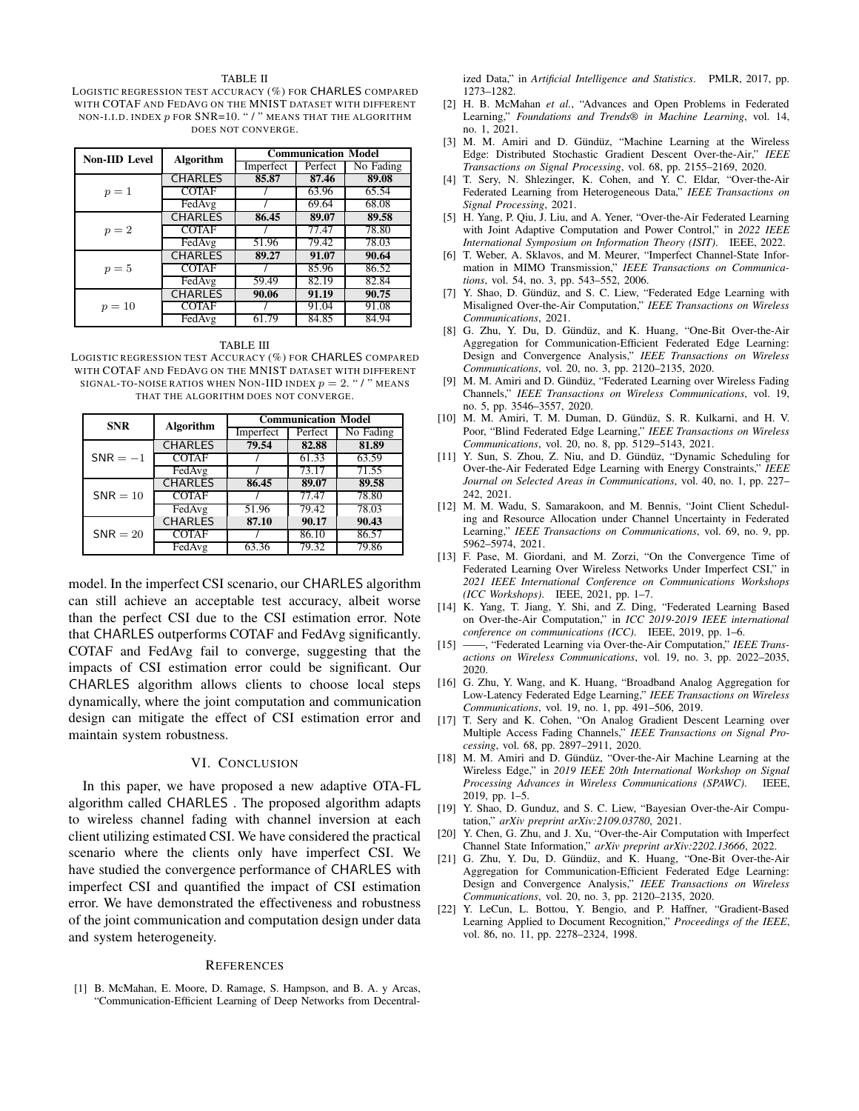#### TABLE II

<span id="page-4-19"></span>LOGISTIC REGRESSION TEST ACCURACY (%) FOR CHARLES COMPARED WITH COTAF AND FEDAVG ON THE MNIST DATASET WITH DIFFERENT NON-I.I.D. INDEX  $p$  FOR SNR=10. " / " MEANS THAT THE ALGORITHM DOES NOT CONVERGE.

| <b>Non-IID Level</b> | <b>Algorithm</b> | <b>Communication Model</b> |         |                    |  |
|----------------------|------------------|----------------------------|---------|--------------------|--|
|                      |                  | Imperfect                  | Perfect | No Fading          |  |
| $p=1$                | <b>CHARLES</b>   | 85.87                      | 87.46   | 89.08              |  |
|                      | <b>COTAF</b>     |                            | 63.96   | $65.\overline{54}$ |  |
|                      | FedAvg           |                            | 69.64   | 68.08              |  |
| $p=2$                | <b>CHARLES</b>   | 86.45                      | 89.07   | 89.58              |  |
|                      | <b>COTAF</b>     |                            | 77.47   | 78.80              |  |
|                      | FedAvg           | 51.96                      | 79.42   | 78.03              |  |
| $p=5$                | <b>CHARLES</b>   | 89.27                      | 91.07   | 90.64              |  |
|                      | <b>COTAF</b>     |                            | 85.96   | 86.52              |  |
|                      | FedAvg           | 59.49                      | 82.19   | 82.84              |  |
| $p=10$               | <b>CHARLES</b>   | 90.06                      | 91.19   | 90.75              |  |
|                      | <b>COTAF</b>     |                            | 91.04   | 91.08              |  |
|                      | FedAvg           | 61.79                      | 84.85   | 84.94              |  |

TABLE III

<span id="page-4-20"></span>LOGISTIC REGRESSION TEST ACCURACY (%) FOR CHARLES COMPARED WITH COTAF AND FEDAVG ON THE MNIST DATASET WITH DIFFERENT SIGNAL-TO-NOISE RATIOS WHEN NON-IID INDEX  $p = 2$ . "/" MEANS THAT THE ALGORITHM DOES NOT CONVERGE.

| <b>SNR</b> | <b>Algorithm</b> | <b>Communication Model</b> |         |           |  |
|------------|------------------|----------------------------|---------|-----------|--|
|            |                  | Imperfect                  | Perfect | No Fading |  |
| $SNR = -1$ | <b>CHARLES</b>   | 79.54                      | 82.88   | 81.89     |  |
|            | <b>COTAF</b>     |                            | 61.33   | 63.59     |  |
|            | FedAvg           |                            | 73.17   | 71.55     |  |
| $SNR = 10$ | <b>CHARLES</b>   | 86.45                      | 89.07   | 89.58     |  |
|            | <b>COTAF</b>     |                            | 77.47   | 78.80     |  |
|            | FedAvg           | 51.96                      | 79.42   | 78.03     |  |
| $SNR = 20$ | <b>CHARLES</b>   | 87.10                      | 90.17   | 90.43     |  |
|            | <b>COTAF</b>     |                            | 86.10   | 86.57     |  |
|            | FedAvg           | 63.36                      | 79.32   | 79.86     |  |

model. In the imperfect CSI scenario, our CHARLES algorithm can still achieve an acceptable test accuracy, albeit worse than the perfect CSI due to the CSI estimation error. Note that CHARLES outperforms COTAF and FedAvg significantly. COTAF and FedAvg fail to converge, suggesting that the impacts of CSI estimation error could be significant. Our CHARLES algorithm allows clients to choose local steps dynamically, where the joint computation and communication design can mitigate the effect of CSI estimation error and maintain system robustness.

#### VI. CONCLUSION

In this paper, we have proposed a new adaptive OTA-FL algorithm called CHARLES . The proposed algorithm adapts to wireless channel fading with channel inversion at each client utilizing estimated CSI. We have considered the practical scenario where the clients only have imperfect CSI. We have studied the convergence performance of CHARLES with imperfect CSI and quantified the impact of CSI estimation error. We have demonstrated the effectiveness and robustness of the joint communication and computation design under data and system heterogeneity.

#### **REFERENCES**

<span id="page-4-0"></span>[1] B. McMahan, E. Moore, D. Ramage, S. Hampson, and B. A. y Arcas, "Communication-Efficient Learning of Deep Networks from Decentralized Data," in *Artificial Intelligence and Statistics*. PMLR, 2017, pp. 1273–1282.

- <span id="page-4-1"></span>[2] H. B. McMahan *et al.*, "Advances and Open Problems in Federated Learning," *Foundations and Trends® in Machine Learning*, vol. 14, no. 1, 2021.
- <span id="page-4-2"></span>[3] M. M. Amiri and D. Gündüz, "Machine Learning at the Wireless Edge: Distributed Stochastic Gradient Descent Over-the-Air," *IEEE Transactions on Signal Processing*, vol. 68, pp. 2155–2169, 2020.
- <span id="page-4-3"></span>[4] T. Sery, N. Shlezinger, K. Cohen, and Y. C. Eldar, "Over-the-Air Federated Learning from Heterogeneous Data," *IEEE Transactions on Signal Processing*, 2021.
- <span id="page-4-4"></span>[5] H. Yang, P. Qiu, J. Liu, and A. Yener, "Over-the-Air Federated Learning with Joint Adaptive Computation and Power Control," in *2022 IEEE International Symposium on Information Theory (ISIT)*. IEEE, 2022.
- <span id="page-4-5"></span>[6] T. Weber, A. Sklavos, and M. Meurer, "Imperfect Channel-State Information in MIMO Transmission," *IEEE Transactions on Communications*, vol. 54, no. 3, pp. 543–552, 2006.
- <span id="page-4-9"></span>[7] Y. Shao, D. Gündüz, and S. C. Liew, "Federated Edge Learning with Misaligned Over-the-Air Computation," *IEEE Transactions on Wireless Communications*, 2021.
- <span id="page-4-14"></span>[8] G. Zhu, Y. Du, D. Gündüz, and K. Huang, "One-Bit Over-the-Air Aggregation for Communication-Efficient Federated Edge Learning: Design and Convergence Analysis," *IEEE Transactions on Wireless Communications*, vol. 20, no. 3, pp. 2120–2135, 2020.
- <span id="page-4-6"></span>[9] M. M. Amiri and D. Gündüz, "Federated Learning over Wireless Fading Channels," *IEEE Transactions on Wireless Communications*, vol. 19, no. 5, pp. 3546–3557, 2020.
- <span id="page-4-13"></span>[10] M. M. Amiri, T. M. Duman, D. Gündüz, S. R. Kulkarni, and H. V. Poor, "Blind Federated Edge Learning," *IEEE Transactions on Wireless Communications*, vol. 20, no. 8, pp. 5129–5143, 2021.
- <span id="page-4-15"></span>[11] Y. Sun, S. Zhou, Z. Niu, and D. Gündüz, "Dynamic Scheduling for Over-the-Air Federated Edge Learning with Energy Constraints," *IEEE Journal on Selected Areas in Communications*, vol. 40, no. 1, pp. 227– 242, 2021.
- <span id="page-4-16"></span>[12] M. M. Wadu, S. Samarakoon, and M. Bennis, "Joint Client Scheduling and Resource Allocation under Channel Uncertainty in Federated Learning," *IEEE Transactions on Communications*, vol. 69, no. 9, pp. 5962–5974, 2021.
- <span id="page-4-10"></span>[13] F. Pase, M. Giordani, and M. Zorzi, "On the Convergence Time of Federated Learning Over Wireless Networks Under Imperfect CSI," in *2021 IEEE International Conference on Communications Workshops (ICC Workshops)*. IEEE, 2021, pp. 1–7.
- <span id="page-4-7"></span>[14] K. Yang, T. Jiang, Y. Shi, and Z. Ding, "Federated Learning Based on Over-the-Air Computation," in *ICC 2019-2019 IEEE international conference on communications (ICC)*. IEEE, 2019, pp. 1–6.
- [15] ——, "Federated Learning via Over-the-Air Computation," *IEEE Transactions on Wireless Communications*, vol. 19, no. 3, pp. 2022–2035, 2020.
- [16] G. Zhu, Y. Wang, and K. Huang, "Broadband Analog Aggregation for Low-Latency Federated Edge Learning," *IEEE Transactions on Wireless Communications*, vol. 19, no. 1, pp. 491–506, 2019.
- [17] T. Sery and K. Cohen, "On Analog Gradient Descent Learning over Multiple Access Fading Channels," *IEEE Transactions on Signal Processing*, vol. 68, pp. 2897–2911, 2020.
- <span id="page-4-8"></span>[18] M. M. Amiri and D. Gündüz, "Over-the-Air Machine Learning at the Wireless Edge," in *2019 IEEE 20th International Workshop on Signal Processing Advances in Wireless Communications (SPAWC)*. IEEE, 2019, pp. 1–5.
- <span id="page-4-11"></span>[19] Y. Shao, D. Gunduz, and S. C. Liew, "Bayesian Over-the-Air Computation," *arXiv preprint arXiv:2109.03780*, 2021.
- <span id="page-4-12"></span>[20] Y. Chen, G. Zhu, and J. Xu, "Over-the-Air Computation with Imperfect Channel State Information," *arXiv preprint arXiv:2202.13666*, 2022.
- <span id="page-4-17"></span>[21] G. Zhu, Y. Du, D. Gündüz, and K. Huang, "One-Bit Over-the-Air Aggregation for Communication-Efficient Federated Edge Learning: Design and Convergence Analysis," *IEEE Transactions on Wireless Communications*, vol. 20, no. 3, pp. 2120–2135, 2020.
- <span id="page-4-18"></span>[22] Y. LeCun, L. Bottou, Y. Bengio, and P. Haffner, "Gradient-Based Learning Applied to Document Recognition," *Proceedings of the IEEE*, vol. 86, no. 11, pp. 2278–2324, 1998.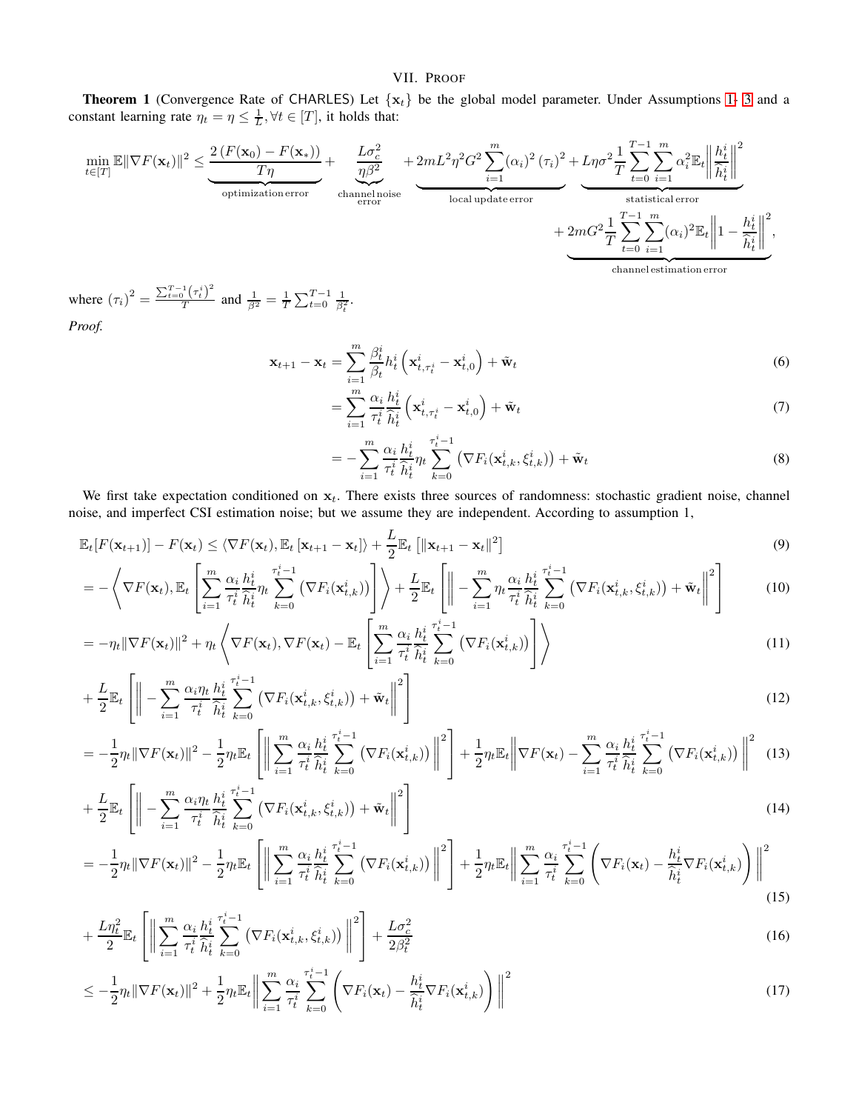# VII. PROOF

<span id="page-5-0"></span>**Theorem 1** (Convergence Rate of CHARLES) Let  $\{x_t\}$  be the global model parameter. Under Assumptions [1-](#page-2-2) [3](#page-3-0) and a constant learning rate  $\eta_t = \eta \leq \frac{1}{L}, \forall t \in [T]$ , it holds that:

$$
\min_{t \in [T]} \mathbb{E} ||\nabla F(\mathbf{x}_t)||^2 \leq \underbrace{\frac{2 \left(F(\mathbf{x}_0) - F(\mathbf{x}_*)\right)}{T\eta}}_{\text{optimization error}} + \underbrace{\frac{L\sigma_c^2}{\eta\beta^2}}_{\text{error}} + 2mL^2\eta^2G^2 \underbrace{\sum_{i=1}^m (\alpha_i)^2 \left(\tau_i\right)^2}_{\text{local update error}} + \underbrace{L\eta\sigma^2 \frac{1}{T} \sum_{t=0}^{T-1} \sum_{i=1}^m \alpha_i^2 \mathbb{E}_t \left\| \frac{h_t^i}{\hat{h}_t^i} \right\|^2}_{\text{statistical error}}_{\text{standard error}} + \underbrace{2mG^2 \frac{1}{T} \sum_{t=0}^{T-1} \sum_{i=1}^m (\alpha_i)^2 \mathbb{E}_t \left\| 1 - \frac{h_t^i}{\hat{h}_t^i} \right\|^2}_{\text{channel estimation error}},
$$

where  $(\tau_i)^2 = \frac{\sum_{t=0}^{T-1} (\tau_i^i)^2}{T}$  $\frac{1}{T} \left( \frac{\tau_t}{t} \right)$  and  $\frac{1}{\beta^2} = \frac{1}{T} \sum_{t=0}^{T-1} \frac{1}{\beta_t^2}$ . *Proof.*

$$
\mathbf{x}_{t+1} - \mathbf{x}_t = \sum_{\substack{i=1 \ n}}^m \frac{\beta_t^i}{\beta_t} h_t^i \left( \mathbf{x}_{t,\tau_t^i}^i - \mathbf{x}_{t,0}^i \right) + \tilde{\mathbf{w}}_t \tag{6}
$$

$$
= \sum_{i=1}^{m} \frac{\alpha_i}{\tau_t^i} \frac{h_t^i}{\hat{h}_t^i} \left( \mathbf{x}_{t, \tau_t^i}^i - \mathbf{x}_{t, 0}^i \right) + \tilde{\mathbf{w}}_t \tag{7}
$$

$$
= -\sum_{i=1}^{m} \frac{\alpha_i}{\tau_t^i} \frac{h_t^i}{\widehat{h}_t^i} \eta_t \sum_{k=0}^{\tau_t^i-1} \left( \nabla F_i(\mathbf{x}_{t,k}^i, \xi_{t,k}^i) \right) + \tilde{\mathbf{w}}_t \tag{8}
$$

We first take expectation conditioned on  $x_t$ . There exists three sources of randomness: stochastic gradient noise, channel noise, and imperfect CSI estimation noise; but we assume they are independent. According to assumption 1,

$$
\mathbb{E}_{t}[F(\mathbf{x}_{t+1})] - F(\mathbf{x}_{t}) \leq \langle \nabla F(\mathbf{x}_{t}), \mathbb{E}_{t}[\mathbf{x}_{t+1} - \mathbf{x}_{t}]\rangle + \frac{L}{2}\mathbb{E}_{t}[\|\mathbf{x}_{t+1} - \mathbf{x}_{t}\|^{2}]
$$
\n(9)

$$
= -\left\langle \nabla F(\mathbf{x}_t), \mathbb{E}_t \left[ \sum_{i=1}^m \frac{\alpha_i}{\tau_t^i} \frac{h_t^i}{\hat{h}_t^i} \eta_t \sum_{k=0}^{\tau_t^i - 1} \left( \nabla F_i(\mathbf{x}_{t,k}^i) \right) \right] \right\rangle + \frac{L}{2} \mathbb{E}_t \left[ \left\| - \sum_{i=1}^m \eta_t \frac{\alpha_i}{\tau_t^i} \frac{h_t^i}{\hat{h}_t^i} \sum_{k=0}^{\tau_t^i - 1} \left( \nabla F_i(\mathbf{x}_{t,k}^i, \xi_{t,k}^i) \right) + \tilde{\mathbf{w}}_t \right\|^2 \right]
$$
(10)

$$
= -\eta_t \|\nabla F(\mathbf{x}_t)\|^2 + \eta_t \left\langle \nabla F(\mathbf{x}_t), \nabla F(\mathbf{x}_t) - \mathbb{E}_t \left[ \sum_{i=1}^m \frac{\alpha_i}{\tau_t^i} \frac{h_t^i}{\hat{h}_t^i} \sum_{k=0}^{\tau_t^i - 1} \left( \nabla F_i(\mathbf{x}_{t,k}^i) \right) \right] \right\rangle
$$
\n
$$
= \left\{ \left. \begin{bmatrix} \n\mathbf{u} & \mathbf{u} & \mathbf{u} \\ \n\mathbf{u} & \mathbf{u} & \mathbf{u} \\ \n\mathbf{u} & \mathbf{u} & \mathbf{u} \end{bmatrix} \right\} \right\} \tag{11}
$$

$$
+\frac{L}{2}\mathbb{E}_t\left[\left\|-\sum_{i=1}^m\frac{\alpha_i\eta_t}{\tau_t^i}\frac{h_t^i}{\hat{h}_t^i}\sum_{k=0}^{\tau_t^i-1}\left(\nabla F_i(\mathbf{x}_{t,k}^i,\xi_{t,k}^i)\right)+\tilde{\mathbf{w}}_t\right\|^2\right]
$$
\n(12)

$$
= -\frac{1}{2}\eta_t \|\nabla F(\mathbf{x}_t)\|^2 - \frac{1}{2}\eta_t \mathbb{E}_t \left[ \Big\| \sum_{i=1}^m \frac{\alpha_i}{\tau_t^i} \frac{h_t^i}{\hat{h}_t^i} \sum_{k=0}^{\tau_{t-1}^i} \left( \nabla F_i(\mathbf{x}_{t,k}^i) \right) \Big\|^2 \right] + \frac{1}{2}\eta_t \mathbb{E}_t \Big\| \nabla F(\mathbf{x}_t) - \sum_{i=1}^m \frac{\alpha_i}{\tau_t^i} \frac{h_t^i}{\hat{h}_t^i} \sum_{k=0}^{\tau_{t-1}^i} \left( \nabla F_i(\mathbf{x}_{t,k}^i) \right) \Big\|^2 \tag{13}
$$

$$
+\frac{L}{2}\mathbb{E}_t\left[\left\|-\sum_{i=1}^m\frac{\alpha_i\eta_t}{\tau_t^i}\frac{h_t^i}{\widehat{h}_t^i}\sum_{k=0}^{\tau_t^i-1}\left(\nabla F_i(\mathbf{x}_{t,k}^i,\xi_{t,k}^i)\right)+\tilde{\mathbf{w}}_t\right\|^2\right]
$$
\n(14)

$$
= -\frac{1}{2}\eta_t \|\nabla F(\mathbf{x}_t)\|^2 - \frac{1}{2}\eta_t \mathbb{E}_t \left[ \Big\|\sum_{i=1}^m \frac{\alpha_i}{\tau_t^i} \frac{h_t^i}{\hat{h}_t^i} \sum_{k=0}^{\tau_t^i-1} \left(\nabla F_i(\mathbf{x}_{t,k}^i)\right) \Big\|^2 \right] + \frac{1}{2}\eta_t \mathbb{E}_t \Big\|\sum_{i=1}^m \frac{\alpha_i}{\tau_t^i} \sum_{k=0}^{\tau_t^i-1} \left(\nabla F_i(\mathbf{x}_t) - \frac{h_t^i}{\hat{h}_t^i} \nabla F_i(\mathbf{x}_{t,k}^i)\right) \Big\|^2 \tag{15}
$$

$$
+\frac{L\eta_t^2}{2}\mathbb{E}_t\left[\left\|\sum_{i=1}^m\frac{\alpha_i}{\tau_t^i}\frac{h_t^i}{\widehat{h}_t^i}\sum_{k=0}^{\tau_t^i-1}\left(\nabla F_i(\mathbf{x}_{t,k}^i,\xi_{t,k}^i)\right)\right\|^2\right]+\frac{L\sigma_c^2}{2\beta_t^2}
$$
\n(16)

$$
\leq -\frac{1}{2}\eta_t \|\nabla F(\mathbf{x}_t)\|^2 + \frac{1}{2}\eta_t \mathbb{E}_t \bigg\| \sum_{i=1}^m \frac{\alpha_i}{\tau_t^i} \sum_{k=0}^{\tau_t^i - 1} \left( \nabla F_i(\mathbf{x}_t) - \frac{h_t^i}{\widehat{h}_t^i} \nabla F_i(\mathbf{x}_{t,k}^i) \right) \bigg\|^2 \tag{17}
$$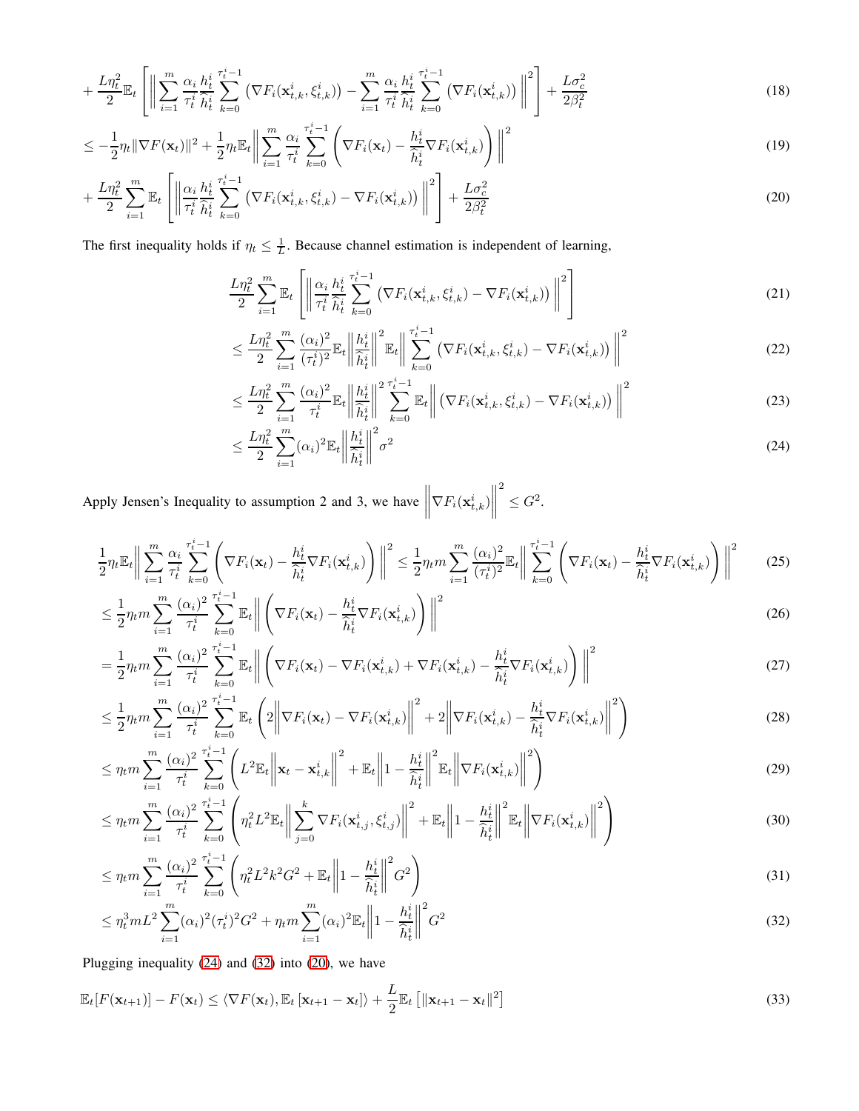$$
+\frac{L\eta_t^2}{2}\mathbb{E}_t\left[\left\|\sum_{i=1}^m\frac{\alpha_i}{\tau_t^i}\frac{h_t^i}{\hat{h}_t^i}\sum_{k=0}^{\tau_t^i-1}\left(\nabla F_i(\mathbf{x}_{t,k}^i,\xi_{t,k}^i)\right)-\sum_{i=1}^m\frac{\alpha_i}{\tau_t^i}\frac{h_t^i}{\hat{h}_t^i}\sum_{k=0}^{\tau_t^i-1}\left(\nabla F_i(\mathbf{x}_{t,k}^i)\right)\right\|^2\right]+\frac{L\sigma_c^2}{2\beta_t^2}
$$
(18)

$$
\leq -\frac{1}{2}\eta_t \|\nabla F(\mathbf{x}_t)\|^2 + \frac{1}{2}\eta_t \mathbb{E}_t \bigg\| \sum_{i=1}^m \frac{\alpha_i}{\tau_t^i} \sum_{k=0}^{\tau_t^i - 1} \left( \nabla F_i(\mathbf{x}_t) - \frac{h_t^i}{\widehat{h}_t^i} \nabla F_i(\mathbf{x}_{t,k}^i) \right) \bigg\|^2 \tag{19}
$$

$$
+\frac{L\eta_t^2}{2}\sum_{i=1}^m \mathbb{E}_t\left[\left\|\frac{\alpha_i}{\tau_t^i}\frac{h_t^i}{\hat{h}_t^i}\sum_{k=0}^{\tau_t^i-1} \left(\nabla F_i(\mathbf{x}_{t,k}^i,\xi_{t,k}^i)-\nabla F_i(\mathbf{x}_{t,k}^i)\right)\right\|^2\right]+\frac{L\sigma_c^2}{2\beta_t^2}
$$
(20)

The first inequality holds if  $\eta_t \leq \frac{1}{L}$ . Because channel estimation is independent of learning,

<span id="page-6-2"></span>
$$
\frac{L\eta_t^2}{2} \sum_{i=1}^m \mathbb{E}_t \left[ \left\| \frac{\alpha_i}{\tau_t^i} \frac{h_t^i}{\hat{h}_t^i} \sum_{k=0}^{\tau_t^i - 1} \left( \nabla F_i(\mathbf{x}_{t,k}^i, \xi_{t,k}^i) - \nabla F_i(\mathbf{x}_{t,k}^i) \right) \right\|^2 \right] \tag{21}
$$

$$
\leq \frac{L\eta_t^2}{2} \sum_{i=1}^m \frac{(\alpha_i)^2}{(\tau_t^i)^2} \mathbb{E}_t \left\| \frac{h_t^i}{\widehat{h}_t^i} \right\|^2 \mathbb{E}_t \left\| \sum_{k=0}^{\tau_t^i-1} \left( \nabla F_i(\mathbf{x}_{t,k}^i, \xi_{t,k}^i) - \nabla F_i(\mathbf{x}_{t,k}^i) \right) \right\|^2 \tag{22}
$$

$$
\leq \frac{L\eta_t^2}{2} \sum_{i=1}^m \frac{(\alpha_i)^2}{\tau_t^i} \mathbb{E}_t \left\| \frac{h_t^i}{\widehat{h}_t^i} \right\|^2 \sum_{k=0}^{\tau_t^i - 1} \mathbb{E}_t \left\| \left( \nabla F_i(\mathbf{x}_{t,k}^i, \xi_{t,k}^i) - \nabla F_i(\mathbf{x}_{t,k}^i) \right) \right\|^2 \tag{23}
$$

<span id="page-6-0"></span>
$$
\leq \frac{L\eta_t^2}{2} \sum_{i=1}^m (\alpha_i)^2 \mathbb{E}_t \left\| \frac{h_t^i}{\widehat{h}_t^i} \right\|^2 \sigma^2 \tag{24}
$$

Apply Jensen's Inequality to assumption 2 and 3, we have  $\nabla F_i(\mathbf{x}_{t,k}^i)$  $\begin{tabular}{|c|c|} \hline \quad \quad & \quad \quad & \quad \quad \\ \hline \quad \quad & \quad \quad & \quad \quad \\ \hline \quad \quad & \quad \quad & \quad \quad \\ \hline \end{tabular}$ 2  $\leq G^2$ .

$$
\frac{1}{2}\eta_t \mathbb{E}_t \bigg\| \sum_{i=1}^m \frac{\alpha_i}{\tau_t^i} \sum_{k=0}^{\tau_t^i - 1} \left( \nabla F_i(\mathbf{x}_t) - \frac{h_t^i}{\hat{h}_t^i} \nabla F_i(\mathbf{x}_{t,k}^i) \right) \bigg\|^2 \le \frac{1}{2} \eta_t m \sum_{i=1}^m \frac{(\alpha_i)^2}{(\tau_t^i)^2} \mathbb{E}_t \bigg\| \sum_{k=0}^{\tau_t^i - 1} \left( \nabla F_i(\mathbf{x}_t) - \frac{h_t^i}{\hat{h}_t^i} \nabla F_i(\mathbf{x}_{t,k}^i) \right) \bigg\|^2 \tag{25}
$$

$$
\leq \frac{1}{2}\eta_t m \sum_{i=1}^m \frac{(\alpha_i)^2}{\tau_t^i} \sum_{k=0}^{\tau_t^i-1} \mathbb{E}_t \left\| \left( \nabla F_i(\mathbf{x}_t) - \frac{h_t^i}{\hat{h}_t^i} \nabla F_i(\mathbf{x}_{t,k}^i) \right) \right\|^2 \tag{26}
$$

$$
= \frac{1}{2}\eta_t m \sum_{i=1}^m \frac{(\alpha_i)^2}{\tau_t^i} \sum_{k=0}^{\tau_t^i-1} \mathbb{E}_t \left\| \left( \nabla F_i(\mathbf{x}_t) - \nabla F_i(\mathbf{x}_{t,k}^i) + \nabla F_i(\mathbf{x}_{t,k}^i) - \frac{h_t^i}{\hat{h}_t^i} \nabla F_i(\mathbf{x}_{t,k}^i) \right) \right\|^2 \tag{27}
$$

$$
\leq \frac{1}{2}\eta_t m \sum_{i=1}^m \frac{(\alpha_i)^2}{\tau_t^i} \sum_{k=0}^{\tau_t^i-1} \mathbb{E}_t \left(2\left\|\nabla F_i(\mathbf{x}_t) - \nabla F_i(\mathbf{x}_{t,k}^i)\right\|^2 + 2\left\|\nabla F_i(\mathbf{x}_{t,k}^i) - \frac{h_t^i}{\widehat{h}_t^i} \nabla F_i(\mathbf{x}_{t,k}^i)\right\|^2\right) \tag{28}
$$

$$
\leq \eta_t m \sum_{i=1}^m \frac{(\alpha_i)^2}{\tau_t^i} \sum_{k=0}^{\tau_t^i - 1} \left( L^2 \mathbb{E}_t \left\| \mathbf{x}_t - \mathbf{x}_{t,k}^i \right\|^2 + \mathbb{E}_t \left\| 1 - \frac{h_t^i}{\widehat{h}_t^i} \right\|^2 \mathbb{E}_t \left\| \nabla F_i(\mathbf{x}_{t,k}^i) \right\|^2 \right) \tag{29}
$$

$$
\leq \eta_t m \sum_{i=1}^m \frac{(\alpha_i)^2}{\tau_t^i} \sum_{k=0}^{\tau_t^i-1} \left( \eta_t^2 L^2 \mathbb{E}_t \left\| \sum_{j=0}^k \nabla F_i(\mathbf{x}_{t,j}^i, \xi_{t,j}^i) \right\|^2 + \mathbb{E}_t \left\| 1 - \frac{h_t^i}{\hat{h}_t^i} \right\|^2 \mathbb{E}_t \left\| \nabla F_i(\mathbf{x}_{t,k}^i) \right\|^2 \right) \tag{30}
$$

$$
\leq \eta_t m \sum_{i=1}^m \frac{(\alpha_i)^2}{\tau_t^i} \sum_{k=0}^{\tau_t^i - 1} \left( \eta_t^2 L^2 k^2 G^2 + \mathbb{E}_t \left\| 1 - \frac{h_t^i}{\hat{h}_t^i} \right\|^2 G^2 \right) \tag{31}
$$

<span id="page-6-1"></span>
$$
\leq \eta_t^3 m L^2 \sum_{i=1}^m (\alpha_i)^2 (\tau_t^i)^2 G^2 + \eta_t m \sum_{i=1}^m (\alpha_i)^2 \mathbb{E}_t \left\| 1 - \frac{h_t^i}{\hat{h}_t^i} \right\|^2 G^2
$$
\n(32)

Plugging inequality [\(24\)](#page-6-0) and [\(32\)](#page-6-1) into [\(20\)](#page-6-2), we have

$$
\mathbb{E}_{t}[F(\mathbf{x}_{t+1})] - F(\mathbf{x}_{t}) \leq \langle \nabla F(\mathbf{x}_{t}), \mathbb{E}_{t}[\mathbf{x}_{t+1} - \mathbf{x}_{t}]\rangle + \frac{L}{2} \mathbb{E}_{t}[\|\mathbf{x}_{t+1} - \mathbf{x}_{t}\|^{2}]
$$
\n(33)